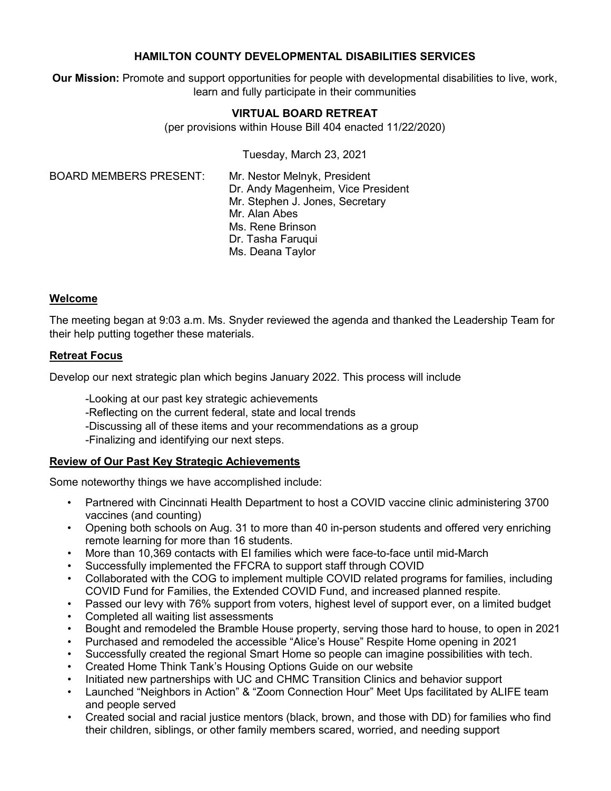#### **HAMILTON COUNTY DEVELOPMENTAL DISABILITIES SERVICES**

**Our Mission:** Promote and support opportunities for people with developmental disabilities to live, work, learn and fully participate in their communities

#### **VIRTUAL BOARD RETREAT**

(per provisions within House Bill 404 enacted 11/22/2020)

Tuesday, March 23, 2021

BOARD MEMBERS PRESENT: Mr. Nestor Melnyk, President

Dr. Andy Magenheim, Vice President Mr. Stephen J. Jones, Secretary Mr. Alan Abes Ms. Rene Brinson Dr. Tasha Faruqui Ms. Deana Taylor

#### **Welcome**

The meeting began at 9:03 a.m. Ms. Snyder reviewed the agenda and thanked the Leadership Team for their help putting together these materials.

#### **Retreat Focus**

Develop our next strategic plan which begins January 2022. This process will include

-Looking at our past key strategic achievements

-Reflecting on the current federal, state and local trends

-Discussing all of these items and your recommendations as a group

-Finalizing and identifying our next steps.

# **Review of Our Past Key Strategic Achievements**

Some noteworthy things we have accomplished include:

- Partnered with Cincinnati Health Department to host a COVID vaccine clinic administering 3700 vaccines (and counting)
- Opening both schools on Aug. 31 to more than 40 in-person students and offered very enriching remote learning for more than 16 students.
- More than 10,369 contacts with EI families which were face-to-face until mid-March
- Successfully implemented the FFCRA to support staff through COVID
- Collaborated with the COG to implement multiple COVID related programs for families, including COVID Fund for Families, the Extended COVID Fund, and increased planned respite.
- Passed our levy with 76% support from voters, highest level of support ever, on a limited budget
- Completed all waiting list assessments
- Bought and remodeled the Bramble House property, serving those hard to house, to open in 2021
- Purchased and remodeled the accessible "Alice's House" Respite Home opening in 2021
- Successfully created the regional Smart Home so people can imagine possibilities with tech.
- Created Home Think Tank's Housing Options Guide on our website
- Initiated new partnerships with UC and CHMC Transition Clinics and behavior support
- Launched "Neighbors in Action" & "Zoom Connection Hour" Meet Ups facilitated by ALIFE team and people served
- Created social and racial justice mentors (black, brown, and those with DD) for families who find their children, siblings, or other family members scared, worried, and needing support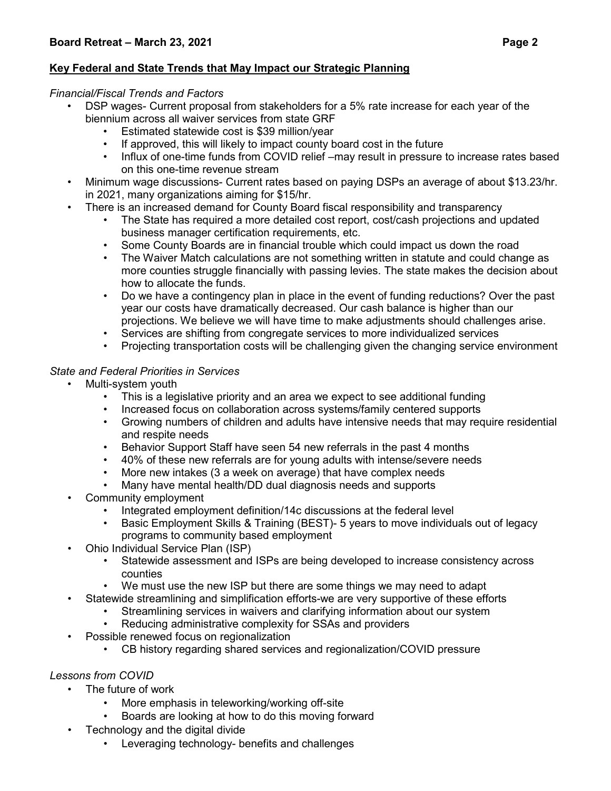# **Key Federal and State Trends that May Impact our Strategic Planning**

#### *Financial/Fiscal Trends and Factors*

- DSP wages- Current proposal from stakeholders for a 5% rate increase for each year of the biennium across all waiver services from state GRF
	- Estimated statewide cost is \$39 million/year
	- If approved, this will likely to impact county board cost in the future
	- Influx of one-time funds from COVID relief –may result in pressure to increase rates based on this one-time revenue stream
- Minimum wage discussions- Current rates based on paying DSPs an average of about \$13.23/hr. in 2021, many organizations aiming for \$15/hr.
- There is an increased demand for County Board fiscal responsibility and transparency
	- The State has required a more detailed cost report, cost/cash projections and updated business manager certification requirements, etc.
	- Some County Boards are in financial trouble which could impact us down the road
	- The Waiver Match calculations are not something written in statute and could change as more counties struggle financially with passing levies. The state makes the decision about how to allocate the funds.
	- Do we have a contingency plan in place in the event of funding reductions? Over the past year our costs have dramatically decreased. Our cash balance is higher than our projections. We believe we will have time to make adjustments should challenges arise.
	- Services are shifting from congregate services to more individualized services
	- Projecting transportation costs will be challenging given the changing service environment

#### *State and Federal Priorities in Services*

- Multi-system youth
	- This is a legislative priority and an area we expect to see additional funding
	- Increased focus on collaboration across systems/family centered supports
	- Growing numbers of children and adults have intensive needs that may require residential and respite needs
	- Behavior Support Staff have seen 54 new referrals in the past 4 months
	- 40% of these new referrals are for young adults with intense/severe needs
	- More new intakes (3 a week on average) that have complex needs
	- Many have mental health/DD dual diagnosis needs and supports
- Community employment
	- Integrated employment definition/14c discussions at the federal level
	- Basic Employment Skills & Training (BEST)- 5 years to move individuals out of legacy programs to community based employment
- Ohio Individual Service Plan (ISP)
	- Statewide assessment and ISPs are being developed to increase consistency across counties
	- We must use the new ISP but there are some things we may need to adapt
- Statewide streamlining and simplification efforts-we are very supportive of these efforts
	- Streamlining services in waivers and clarifying information about our system
	- Reducing administrative complexity for SSAs and providers
- Possible renewed focus on regionalization
	- CB history regarding shared services and regionalization/COVID pressure

#### *Lessons from COVID*

- The future of work
	- More emphasis in teleworking/working off-site
	- Boards are looking at how to do this moving forward
- Technology and the digital divide
	- Leveraging technology- benefits and challenges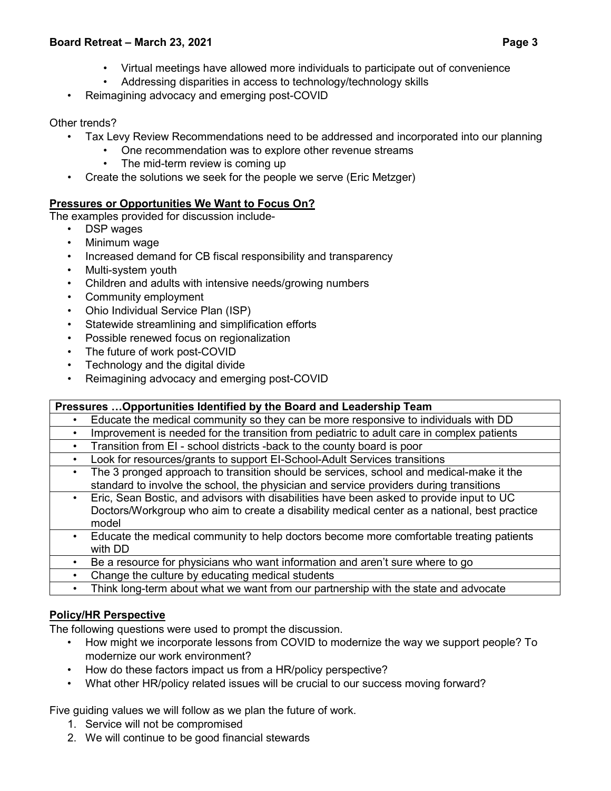#### **Board Retreat – March 23, 2021 Page 3**

- Virtual meetings have allowed more individuals to participate out of convenience
- Addressing disparities in access to technology/technology skills
- Reimagining advocacy and emerging post-COVID

# Other trends?

- Tax Levy Review Recommendations need to be addressed and incorporated into our planning
	- One recommendation was to explore other revenue streams
	- The mid-term review is coming up
- Create the solutions we seek for the people we serve (Eric Metzger)

# **Pressures or Opportunities We Want to Focus On?**

The examples provided for discussion include-

- DSP wages
- Minimum wage
- Increased demand for CB fiscal responsibility and transparency
- Multi-system youth
- Children and adults with intensive needs/growing numbers
- Community employment
- Ohio Individual Service Plan (ISP)
- Statewide streamlining and simplification efforts
- Possible renewed focus on regionalization
- The future of work post-COVID
- Technology and the digital divide
- Reimagining advocacy and emerging post-COVID

# **Pressures …Opportunities Identified by the Board and Leadership Team**

• Educate the medical community so they can be more responsive to individuals with DD

- Improvement is needed for the transition from pediatric to adult care in complex patients
- Transition from EI school districts -back to the county board is poor
- Look for resources/grants to support EI-School-Adult Services transitions
- The 3 pronged approach to transition should be services, school and medical-make it the standard to involve the school, the physician and service providers during transitions
- Eric, Sean Bostic, and advisors with disabilities have been asked to provide input to UC Doctors/Workgroup who aim to create a disability medical center as a national, best practice model
- Educate the medical community to help doctors become more comfortable treating patients with DD
- Be a resource for physicians who want information and aren't sure where to go
- Change the culture by educating medical students
- Think long-term about what we want from our partnership with the state and advocate

# **Policy/HR Perspective**

The following questions were used to prompt the discussion.

- How might we incorporate lessons from COVID to modernize the way we support people? To modernize our work environment?
- How do these factors impact us from a HR/policy perspective?
- What other HR/policy related issues will be crucial to our success moving forward?

# Five guiding values we will follow as we plan the future of work.

- 1. Service will not be compromised
- 2. We will continue to be good financial stewards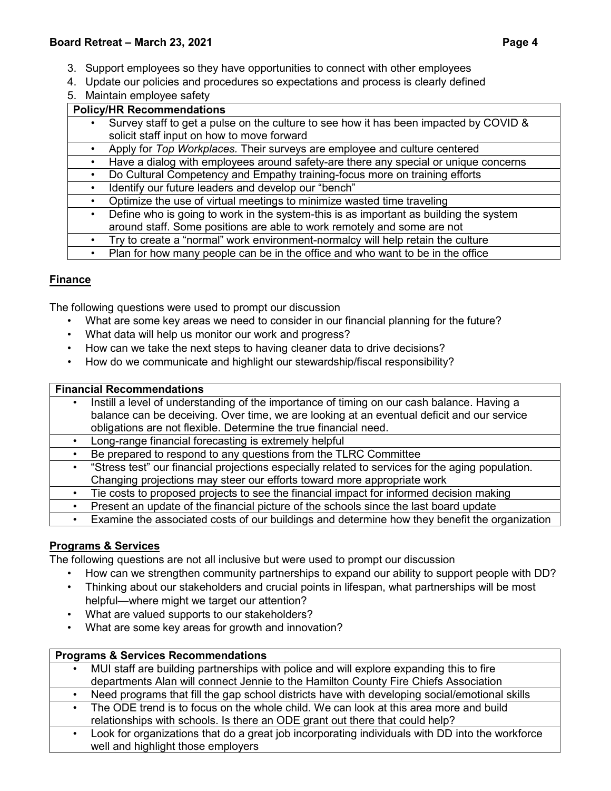- 3. Support employees so they have opportunities to connect with other employees
- 4. Update our policies and procedures so expectations and process is clearly defined
- 5. Maintain employee safety

# **Policy/HR Recommendations**

- Survey staff to get a pulse on the culture to see how it has been impacted by COVID & solicit staff input on how to move forward
- Apply for *Top Workplaces.* Their surveys are employee and culture centered
- Have a dialog with employees around safety-are there any special or unique concerns
- Do Cultural Competency and Empathy training-focus more on training efforts
- Identify our future leaders and develop our "bench"
- Optimize the use of virtual meetings to minimize wasted time traveling
- Define who is going to work in the system-this is as important as building the system around staff. Some positions are able to work remotely and some are not
- Try to create a "normal" work environment-normalcy will help retain the culture
- Plan for how many people can be in the office and who want to be in the office

# **Finance**

The following questions were used to prompt our discussion

- What are some key areas we need to consider in our financial planning for the future?
- What data will help us monitor our work and progress?
- How can we take the next steps to having cleaner data to drive decisions?
- How do we communicate and highlight our stewardship/fiscal responsibility?

#### **Financial Recommendations**

- Instill a level of understanding of the importance of timing on our cash balance. Having a balance can be deceiving. Over time, we are looking at an eventual deficit and our service obligations are not flexible. Determine the true financial need.
- Long-range financial forecasting is extremely helpful
- Be prepared to respond to any questions from the TLRC Committee
- "Stress test" our financial projections especially related to services for the aging population. Changing projections may steer our efforts toward more appropriate work
- Tie costs to proposed projects to see the financial impact for informed decision making
- Present an update of the financial picture of the schools since the last board update
- Examine the associated costs of our buildings and determine how they benefit the organization

# **Programs & Services**

The following questions are not all inclusive but were used to prompt our discussion

- How can we strengthen community partnerships to expand our ability to support people with DD?
- Thinking about our stakeholders and crucial points in lifespan, what partnerships will be most helpful—where might we target our attention?
- What are valued supports to our stakeholders?
- What are some key areas for growth and innovation?

# **Programs & Services Recommendations**

| MUI staff are building partnerships with police and will explore expanding this to fire                                                                                                                                                 |
|-----------------------------------------------------------------------------------------------------------------------------------------------------------------------------------------------------------------------------------------|
| departments Alan will connect Jennie to the Hamilton County Fire Chiefs Association                                                                                                                                                     |
| Need programs that fill the gap school districts have with developing social/emotional skills                                                                                                                                           |
| The ODE trend is to focus on the whole child. We can look at this area more and build                                                                                                                                                   |
| relationships with schools. Is there an ODE grant out there that could help?                                                                                                                                                            |
| $\mathbf{r} = \mathbf{r}$ . The contract of the contract of the contract of the contract of the contract of the contract of the contract of the contract of the contract of the contract of the contract of the contract of the contrac |

• Look for organizations that do a great job incorporating individuals with DD into the workforce well and highlight those employers